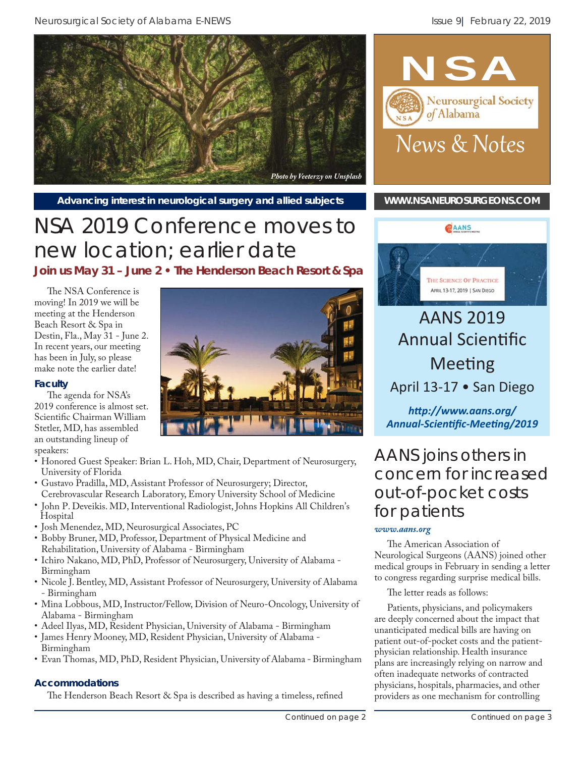



#### Advancing interest in neurological surgery and allied subjects **[WWW.NSANEUROSURGEONS.COM](http://www.nsaneurosurgeons.com)**

# NSA 2019 Conference moves to new location; earlier date

**Join us May 31 – June 2 • The Henderson Beach Resort & Spa**

The NSA Conference is moving! In 2019 we will be meeting at the Henderson Beach Resort & Spa in Destin, Fla., May 31 - June 2. In recent years, our meeting has been in July, so please make note the earlier date!

#### **Faculty**

The agenda for NSA's 2019 conference is almost set. Scientific Chairman William Stetler, MD, has assembled an outstanding lineup of speakers:

- Honored Guest Speaker: Brian L. Hoh, MD, Chair, Department of Neurosurgery, University of Florida
- Gustavo Pradilla, MD, Assistant Professor of Neurosurgery; Director, Cerebrovascular Research Laboratory, Emory University School of Medicine
- John P. Deveikis. MD, Interventional Radiologist, Johns Hopkins All Children's Hospital
- Josh Menendez, MD, Neurosurgical Associates, PC
- Bobby Bruner, MD, Professor, Department of Physical Medicine and Rehabilitation, University of Alabama - Birmingham
- Ichiro Nakano, MD, PhD, Professor of Neurosurgery, University of Alabama Birmingham
- Nicole J. Bentley, MD, Assistant Professor of Neurosurgery, University of Alabama - Birmingham
- Mina Lobbous, MD, Instructor/Fellow, Division of Neuro-Oncology, University of Alabama - Birmingham
- Adeel Ilyas, MD, Resident Physician, University of Alabama Birmingham
- James Henry Mooney, MD, Resident Physician, University of Alabama Birmingham
- Evan Thomas, MD, PhD, Resident Physician, University of Alabama Birmingham

#### **Accommodations**

The Henderson Beach Resort & Spa is described as having a timeless, refined





## AANS 2019 **Annual Scientific Meeting** April 13-17 • San Diego

*hƩ [p://www.aans.org/](http://www.aans.org/Annual-Scientific-Meeting/2019) Annual-ScienƟfi c-MeeƟ ng/2019*

## AANS joins others in concern for increased out-of-pocket costs for patients

#### *[www.aans.org](https://www.aans.org/-/media/Files/AANS/Advocacy/PDFS/Physician-Surpise-Billing-Letter-to-Congress-020719.ashx?la=en&hash=2100DFB18F6DE0BD7AC587A1E6475B902ACC9850)*

The American Association of Neurological Surgeons (AANS) joined other medical groups in February in sending a letter to congress regarding surprise medical bills.

The letter reads as follows:

Patients, physicians, and policymakers are deeply concerned about the impact that unanticipated medical bills are having on patient out-of-pocket costs and the patientphysician relationship. Health insurance plans are increasingly relying on narrow and often inadequate networks of contracted physicians, hospitals, pharmacies, and other providers as one mechanism for controlling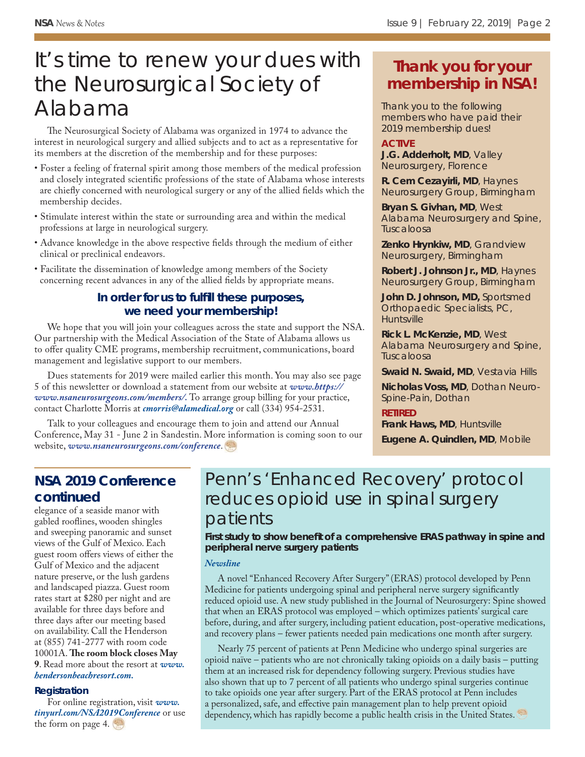# It's time to renew your dues with the Neurosurgical Society of Alabama

The Neurosurgical Society of Alabama was organized in 1974 to advance the interest in neurological surgery and allied subjects and to act as a representative for its members at the discretion of the membership and for these purposes:

- Foster a feeling of fraternal spirit among those members of the medical profession and closely integrated scientific professions of the state of Alabama whose interests are chiefly concerned with neurological surgery or any of the allied fields which the membership decides.
- Stimulate interest within the state or surrounding area and within the medical professions at large in neurological surgery.
- Advance knowledge in the above respective fields through the medium of either clinical or preclinical endeavors.
- Facilitate the dissemination of knowledge among members of the Society concerning recent advances in any of the allied fields by appropriate means.

#### In order for us to fulfill these purposes, **we need your membership!**

We hope that you will join your colleagues across the state and support the NSA. Our partnership with the Medical Association of the State of Alabama allows us to offer quality CME programs, membership recruitment, communications, board management and legislative support to our members.

Dues statements for 2019 were mailed earlier this month. You may also see page 5 of this newsletter or download a statement from our website at *www.https:// www.nsaneurosurgeons.com/members/.* To arrange group billing for your practice, contact Charlotte Morris at *cmorris@alamedical.org* or call (334) 954-2531.

Talk to your colleagues and encourage them to join and attend our Annual Conference, May 31 - June 2 in Sandestin. More information is coming soon to our website, *www.nsaneurosurgeons.com/conference*.

## **Thank you for your membership in NSA!**

Thank you to the following members who have paid their 2019 membership dues!

#### **ACTIVE**

**J.G. Adderholt, MD**, Valley Neurosurgery, Florence

**R. Cem Cezayirli, MD**, Haynes Neurosurgery Group, Birmingham

**Bryan S. Givhan, MD**, West Alabama Neurosurgery and Spine, Tuscaloosa

**Zenko Hrynkiw, MD**, Grandview Neurosurgery, Birmingham

**Robert J. Johnson Jr., MD**, Haynes Neurosurgery Group, Birmingham

**John D. Johnson, MD,** Sportsmed Orthopaedic Specialists, PC, **Huntsville** 

**Rick L. McKenzie, MD**, West Alabama Neurosurgery and Spine, Tuscaloosa

**Swaid N. Swaid, MD**, Vestavia Hills

**Nicholas Voss, MD**, Dothan Neuro-Spine-Pain, Dothan

#### **RETIRED**

**Frank Haws, MD**, Huntsville

**Eugene A. Quindlen, MD**, Mobile

## **NSA 2019 Conference continued**

elegance of a seaside manor with gabled rooflines, wooden shingles and sweeping panoramic and sunset views of the Gulf of Mexico. Each guest room offers views of either the Gulf of Mexico and the adjacent nature preserve, or the lush gardens and landscaped piazza. Guest room rates start at \$280 per night and are available for three days before and three days after our meeting based on availability. Call the Henderson at (855) 741-2777 with room code 10001A. The room block closes May **9**. Read more about the resort at *www. hendersonbeachresort.com.*

#### **Registration**

For online registration, visit *www. tinyurl.com/NSA2019Conference* or use the form on page 4.

## Penn's 'Enhanced Recovery' protocol reduces opioid use in spinal surgery patients

First study to show benefit of a comprehensive ERAS pathway in spine and **peripheral nerve surgery patients**

#### *[Newsline](https://aansneurosurgeon.org/penns-enhanced-recovery-protocol-reduces-opioid-use-in-spinal-surgery-patients/)*

A novel "Enhanced Recovery After Surgery" (ERAS) protocol developed by Penn Medicine for patients undergoing spinal and peripheral nerve surgery significantly reduced opioid use. A new study published in the Journal of Neurosurgery: Spine showed that when an ERAS protocol was employed – which optimizes patients' surgical care before, during, and after surgery, including patient education, post-operative medications, and recovery plans – fewer patients needed pain medications one month after surgery.

Nearly 75 percent of patients at Penn Medicine who undergo spinal surgeries are opioid naïve – patients who are not chronically taking opioids on a daily basis – putting them at an increased risk for dependency following surgery. Previous studies have also shown that up to 7 percent of all patients who undergo spinal surgeries continue to take opioids one year after surgery. Part of the ERAS protocol at Penn includes a personalized, safe, and effective pain management plan to help prevent opioid dependency, which has rapidly become a public health crisis in the United States.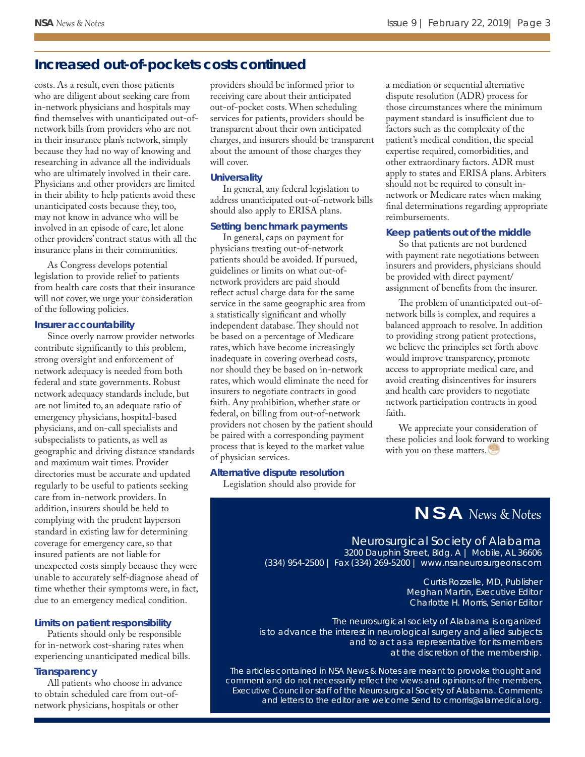### **Increased out-of-pockets costs continued**

costs. As a result, even those patients who are diligent about seeking care from in-network physicians and hospitals may find themselves with unanticipated out-ofnetwork bills from providers who are not in their insurance plan's network, simply because they had no way of knowing and researching in advance all the individuals who are ultimately involved in their care. Physicians and other providers are limited in their ability to help patients avoid these unanticipated costs because they, too, may not know in advance who will be involved in an episode of care, let alone other providers' contract status with all the insurance plans in their communities.

As Congress develops potential legislation to provide relief to patients from health care costs that their insurance will not cover, we urge your consideration of the following policies.

#### **Insurer accountability**

Since overly narrow provider networks contribute significantly to this problem, strong oversight and enforcement of network adequacy is needed from both federal and state governments. Robust network adequacy standards include, but are not limited to, an adequate ratio of emergency physicians, hospital-based physicians, and on-call specialists and subspecialists to patients, as well as geographic and driving distance standards and maximum wait times. Provider directories must be accurate and updated regularly to be useful to patients seeking care from in-network providers. In addition, insurers should be held to complying with the prudent layperson standard in existing law for determining coverage for emergency care, so that insured patients are not liable for unexpected costs simply because they were unable to accurately self-diagnose ahead of time whether their symptoms were, in fact, due to an emergency medical condition.

#### **Limits on patient responsibility**

Patients should only be responsible for in-network cost-sharing rates when experiencing unanticipated medical bills.

#### **Transparency**

All patients who choose in advance to obtain scheduled care from out-ofnetwork physicians, hospitals or other

providers should be informed prior to receiving care about their anticipated out-of-pocket costs. When scheduling services for patients, providers should be transparent about their own anticipated charges, and insurers should be transparent about the amount of those charges they will cover.

#### **Universality**

In general, any federal legislation to address unanticipated out-of-network bills should also apply to ERISA plans.

#### **Setting benchmark payments**

In general, caps on payment for physicians treating out-of-network patients should be avoided. If pursued, guidelines or limits on what out-ofnetwork providers are paid should reflect actual charge data for the same service in the same geographic area from a statistically significant and wholly independent database. They should not be based on a percentage of Medicare rates, which have become increasingly inadequate in covering overhead costs, nor should they be based on in-network rates, which would eliminate the need for insurers to negotiate contracts in good faith. Any prohibition, whether state or federal, on billing from out-of-network providers not chosen by the patient should be paired with a corresponding payment process that is keyed to the market value of physician services.

#### **Alternative dispute resolution**

Legislation should also provide for

a mediation or sequential alternative dispute resolution (ADR) process for those circumstances where the minimum payment standard is insufficient due to factors such as the complexity of the patient's medical condition, the special expertise required, comorbidities, and other extraordinary factors. ADR must apply to states and ERISA plans. Arbiters should not be required to consult innetwork or Medicare rates when making final determinations regarding appropriate reimbursements.

#### **Keep patients out of the middle**

So that patients are not burdened with payment rate negotiations between insurers and providers, physicians should be provided with direct payment/ assignment of benefits from the insurer.

The problem of unanticipated out-ofnetwork bills is complex, and requires a balanced approach to resolve. In addition to providing strong patient protections, we believe the principles set forth above would improve transparency, promote access to appropriate medical care, and avoid creating disincentives for insurers and health care providers to negotiate network participation contracts in good faith.

We appreciate your consideration of these policies and look forward to working with you on these matters.

## NSA News & Notes

#### Neurosurgical Society of Alabama 3200 Dauphin Street, Bldg. A | Mobile, AL 36606

(334) 954-2500 | Fax (334) 269-5200 | www.nsaneurosurgeons.com

Curtis Rozzelle, MD, Publisher Meghan Martin, Executive Editor Charlotte H. Morris, Senior Editor

*The neurosurgical society of Alabama is organized is to advance the interest in neurological surgery and allied subjects and to act as a representative for its members at the discretion of the membership.*

*The articles contained in NSA News & Notes are meant to provoke thought and comment and do not necessarily refl ect the views and opinions of the members, Executive Council or staff of the Neurosurgical Society of Alabama. Comments and letters to the editor are welcome Send to cmorris@alamedical.org.*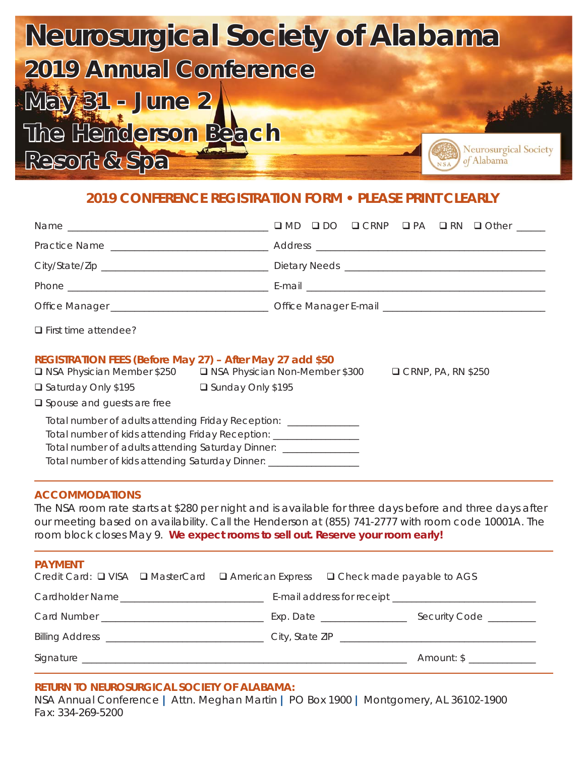

## **2019 CONFERENCE REGISTRATION FORM • PLEASE PRINT CLEARLY**

| $\Box$ First time attendee?                                                                                                                                                                                                                                                             |                                                                                            |
|-----------------------------------------------------------------------------------------------------------------------------------------------------------------------------------------------------------------------------------------------------------------------------------------|--------------------------------------------------------------------------------------------|
| REGISTRATION FEES (Before May 27) - After May 27 add \$50                                                                                                                                                                                                                               | □ NSA Physician Member \$250 □ NSA Physician Non-Member \$300<br>$\Box$ CRNP, PA, RN \$250 |
| □ Saturday Only \$195 □ Sunday Only \$195                                                                                                                                                                                                                                               |                                                                                            |
| $\square$ Spouse and guests are free                                                                                                                                                                                                                                                    |                                                                                            |
| Total number of adults attending Friday Reception: ________________<br>Total number of kids attending Friday Reception: ___________________<br>Total number of adults attending Saturday Dinner: _______________<br>Total number of kids attending Saturday Dinner: ___________________ |                                                                                            |

#### **ACCOMMODATIONS**

The NSA room rate starts at \$280 per night and is available for three days before and three days after our meeting based on availability. Call the Henderson at (855) 741-2777 with room code 10001A. The room block closes May 9. **We expect rooms to sell out. Reserve your room early!**

| <b>PAYMENT</b><br>Credit Card: □ VISA □ MasterCard □ American Express □ Check made payable to AGS |                               |                       |
|---------------------------------------------------------------------------------------------------|-------------------------------|-----------------------|
| Cardholder Name                                                                                   |                               |                       |
|                                                                                                   | Exp. Date ___________________ | Security Code _______ |
|                                                                                                   |                               |                       |
|                                                                                                   |                               | Amount: \$            |

#### **RETURN TO NEUROSURGICAL SOCIETY OF ALABAMA:**

NSA Annual Conference **|** Attn. Meghan Martin **|** PO Box 1900 **|** Montgomery, AL 36102-1900 Fax: 334-269-5200